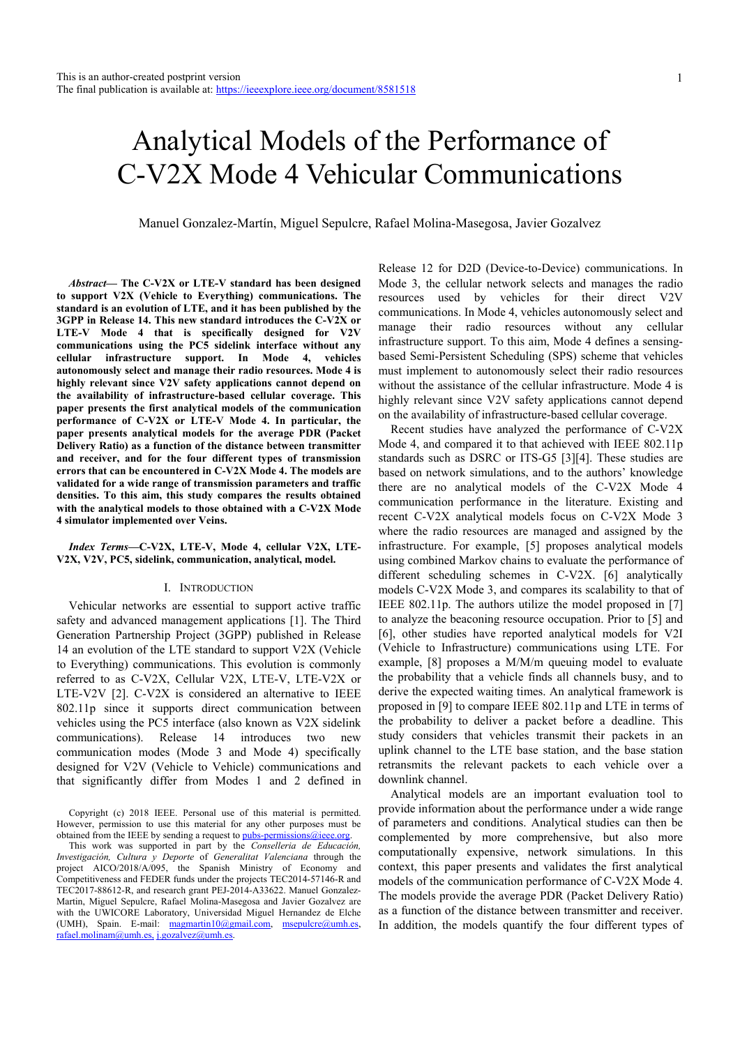# Analytical Models of the Performance of C-V2X Mode 4 Vehicular Communications

Manuel Gonzalez-Martín, Miguel Sepulcre, Rafael Molina-Masegosa, Javier Gozalvez

*Abstract***— The C-V2X or LTE-V standard has been designed to support V2X (Vehicle to Everything) communications. The standard is an evolution of LTE, and it has been published by the 3GPP in Release 14. This new standard introduces the C-V2X or LTE-V Mode 4 that is specifically designed for V2V communications using the PC5 sidelink interface without any cellular infrastructure support. In Mode 4, vehicles autonomously select and manage their radio resources. Mode 4 is highly relevant since V2V safety applications cannot depend on the availability of infrastructure-based cellular coverage. This paper presents the first analytical models of the communication performance of C-V2X or LTE-V Mode 4. In particular, the paper presents analytical models for the average PDR (Packet Delivery Ratio) as a function of the distance between transmitter and receiver, and for the four different types of transmission errors that can be encountered in C-V2X Mode 4. The models are validated for a wide range of transmission parameters and traffic densities. To this aim, this study compares the results obtained with the analytical models to those obtained with a C-V2X Mode 4 simulator implemented over Veins.** 

*Index Terms***—C-V2X, LTE-V, Mode 4, cellular V2X, LTE-V2X, V2V, PC5, sidelink, communication, analytical, model.** 

#### I. INTRODUCTION

Vehicular networks are essential to support active traffic safety and advanced management applications [1]. The Third Generation Partnership Project (3GPP) published in Release 14 an evolution of the LTE standard to support V2X (Vehicle to Everything) communications. This evolution is commonly referred to as C-V2X, Cellular V2X, LTE-V, LTE-V2X or LTE-V2V [2]. C-V2X is considered an alternative to IEEE 802.11p since it supports direct communication between vehicles using the PC5 interface (also known as V2X sidelink communications). Release 14 introduces two new communication modes (Mode 3 and Mode 4) specifically designed for V2V (Vehicle to Vehicle) communications and that significantly differ from Modes 1 and 2 defined in Release 12 for D2D (Device-to-Device) communications. In Mode 3, the cellular network selects and manages the radio resources used by vehicles for their direct V2V communications. In Mode 4, vehicles autonomously select and manage their radio resources without any cellular infrastructure support. To this aim, Mode 4 defines a sensingbased Semi-Persistent Scheduling (SPS) scheme that vehicles must implement to autonomously select their radio resources without the assistance of the cellular infrastructure. Mode 4 is highly relevant since V2V safety applications cannot depend on the availability of infrastructure-based cellular coverage.

Recent studies have analyzed the performance of C-V2X Mode 4, and compared it to that achieved with IEEE 802.11p standards such as DSRC or ITS-G5 [3][4]. These studies are based on network simulations, and to the authors' knowledge there are no analytical models of the C-V2X Mode 4 communication performance in the literature. Existing and recent C-V2X analytical models focus on C-V2X Mode 3 where the radio resources are managed and assigned by the infrastructure. For example, [5] proposes analytical models using combined Markov chains to evaluate the performance of different scheduling schemes in C-V2X. [6] analytically models C-V2X Mode 3, and compares its scalability to that of IEEE 802.11p. The authors utilize the model proposed in [7] to analyze the beaconing resource occupation. Prior to [5] and [6], other studies have reported analytical models for V2I (Vehicle to Infrastructure) communications using LTE. For example, [8] proposes a M/M/m queuing model to evaluate the probability that a vehicle finds all channels busy, and to derive the expected waiting times. An analytical framework is proposed in [9] to compare IEEE 802.11p and LTE in terms of the probability to deliver a packet before a deadline. This study considers that vehicles transmit their packets in an uplink channel to the LTE base station, and the base station retransmits the relevant packets to each vehicle over a downlink channel.

Analytical models are an important evaluation tool to provide information about the performance under a wide range of parameters and conditions. Analytical studies can then be complemented by more comprehensive, but also more computationally expensive, network simulations. In this context, this paper presents and validates the first analytical models of the communication performance of C-V2X Mode 4. The models provide the average PDR (Packet Delivery Ratio) as a function of the distance between transmitter and receiver. In addition, the models quantify the four different types of

Copyright (c) 2018 IEEE. Personal use of this material is permitted. However, permission to use this material for any other purposes must be obtained from the IEEE by sending a request to pubs-permissions@ieee.org.

This work was supported in part by the *Conselleria de Educación, Investigación, Cultura y Deporte* of *Generalitat Valenciana* through the project AICO/2018/A/095, the Spanish Ministry of Economy and Competitiveness and FEDER funds under the projects TEC2014-57146-R and TEC2017-88612-R, and research grant PEJ-2014-A33622. Manuel Gonzalez-Martin, Miguel Sepulcre, Rafael Molina-Masegosa and Javier Gozalvez are with the UWICORE Laboratory, Universidad Miguel Hernandez de Elche (UMH), Spain. E-mail: magmartin10@gmail.com, msepulcre@umh.es, rafael.molinam@umh.es, j.gozalvez@umh.es.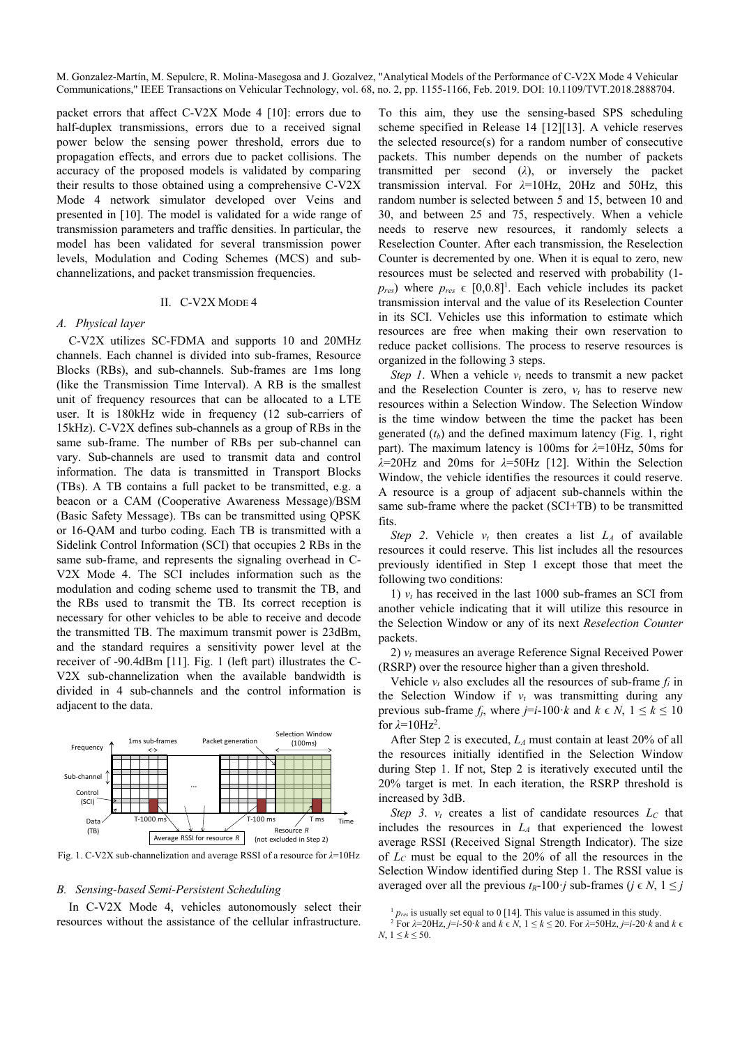packet errors that affect C-V2X Mode 4 [10]: errors due to half-duplex transmissions, errors due to a received signal power below the sensing power threshold, errors due to propagation effects, and errors due to packet collisions. The accuracy of the proposed models is validated by comparing their results to those obtained using a comprehensive C-V2X Mode 4 network simulator developed over Veins and presented in [10]. The model is validated for a wide range of transmission parameters and traffic densities. In particular, the model has been validated for several transmission power levels, Modulation and Coding Schemes (MCS) and subchannelizations, and packet transmission frequencies.

## II. C-V2X MODE 4

## *A. Physical layer*

C-V2X utilizes SC-FDMA and supports 10 and 20MHz channels. Each channel is divided into sub-frames, Resource Blocks (RBs), and sub-channels. Sub-frames are 1ms long (like the Transmission Time Interval). A RB is the smallest unit of frequency resources that can be allocated to a LTE user. It is 180kHz wide in frequency (12 sub-carriers of 15kHz). C-V2X defines sub-channels as a group of RBs in the same sub-frame. The number of RBs per sub-channel can vary. Sub-channels are used to transmit data and control information. The data is transmitted in Transport Blocks (TBs). A TB contains a full packet to be transmitted, e.g. a beacon or a CAM (Cooperative Awareness Message)/BSM (Basic Safety Message). TBs can be transmitted using QPSK or 16-QAM and turbo coding. Each TB is transmitted with a Sidelink Control Information (SCI) that occupies 2 RBs in the same sub-frame, and represents the signaling overhead in C-V2X Mode 4. The SCI includes information such as the modulation and coding scheme used to transmit the TB, and the RBs used to transmit the TB. Its correct reception is necessary for other vehicles to be able to receive and decode the transmitted TB. The maximum transmit power is 23dBm, and the standard requires a sensitivity power level at the receiver of -90.4dBm [11]. Fig. 1 (left part) illustrates the C-V2X sub-channelization when the available bandwidth is divided in 4 sub-channels and the control information is adjacent to the data.



Fig. 1. C-V2X sub-channelization and average RSSI of a resource for *λ*=10Hz

## *B. Sensing-based Semi-Persistent Scheduling*

In C-V2X Mode 4, vehicles autonomously select their resources without the assistance of the cellular infrastructure. To this aim, they use the sensing-based SPS scheduling scheme specified in Release 14 [12][13]. A vehicle reserves the selected resource(s) for a random number of consecutive packets. This number depends on the number of packets transmitted per second (*λ*), or inversely the packet transmission interval. For *λ*=10Hz, 20Hz and 50Hz, this random number is selected between 5 and 15, between 10 and 30, and between 25 and 75, respectively. When a vehicle needs to reserve new resources, it randomly selects a Reselection Counter. After each transmission, the Reselection Counter is decremented by one. When it is equal to zero, new resources must be selected and reserved with probability (1  $p_{res}$ ) where  $p_{res} \in [0,0.8]$ <sup>1</sup>. Each vehicle includes its packet transmission interval and the value of its Reselection Counter in its SCI. Vehicles use this information to estimate which resources are free when making their own reservation to reduce packet collisions. The process to reserve resources is organized in the following 3 steps.

*Step 1*. When a vehicle  $v_t$  needs to transmit a new packet and the Reselection Counter is zero,  $v_t$  has to reserve new resources within a Selection Window. The Selection Window is the time window between the time the packet has been generated  $(t_b)$  and the defined maximum latency (Fig. 1, right part). The maximum latency is 100ms for *λ*=10Hz, 50ms for *λ*=20Hz and 20ms for *λ*=50Hz [12]. Within the Selection Window, the vehicle identifies the resources it could reserve. A resource is a group of adjacent sub-channels within the same sub-frame where the packet (SCI+TB) to be transmitted fits.

*Step 2*. Vehicle  $v_t$  then creates a list  $L_A$  of available resources it could reserve. This list includes all the resources previously identified in Step 1 except those that meet the following two conditions:

1)  $v_t$  has received in the last 1000 sub-frames an SCI from another vehicle indicating that it will utilize this resource in the Selection Window or any of its next *Reselection Counter* packets.

2) *vt* measures an average Reference Signal Received Power (RSRP) over the resource higher than a given threshold.

Vehicle  $v_t$  also excludes all the resources of sub-frame  $f_i$  in the Selection Window if  $v_t$  was transmitting during any previous sub-frame  $f_i$ , where  $i=i-100$ *<sup>* $k$ *</sup>* and  $k \in N$ ,  $1 \leq k \leq 10$ for  $\lambda = 10$ Hz<sup>2</sup>.

After Step 2 is executed, *LA* must contain at least 20% of all the resources initially identified in the Selection Window during Step 1. If not, Step 2 is iteratively executed until the 20% target is met. In each iteration, the RSRP threshold is increased by 3dB.

*Step 3.*  $v_t$  creates a list of candidate resources  $L_c$  that includes the resources in *LA* that experienced the lowest average RSSI (Received Signal Strength Indicator). The size of *LC* must be equal to the 20% of all the resources in the Selection Window identified during Step 1. The RSSI value is averaged over all the previous  $t_R$ -100 $\cdot$ *j* sub-frames ( $j \in N$ ,  $1 \leq j$ 

 $1 p_{res}$  is usually set equal to 0 [14]. This value is assumed in this study.

For  $\lambda = 20$ Hz,  $j = i$ -50 $\cdot$ *k* and  $k \in N$ ,  $1 \le k \le 20$ . For  $\lambda = 50$ Hz,  $j = i$ -20 $\cdot$ *k* and  $k \in \mathbb{R}$ *N*,  $1 \leq k \leq 50$ .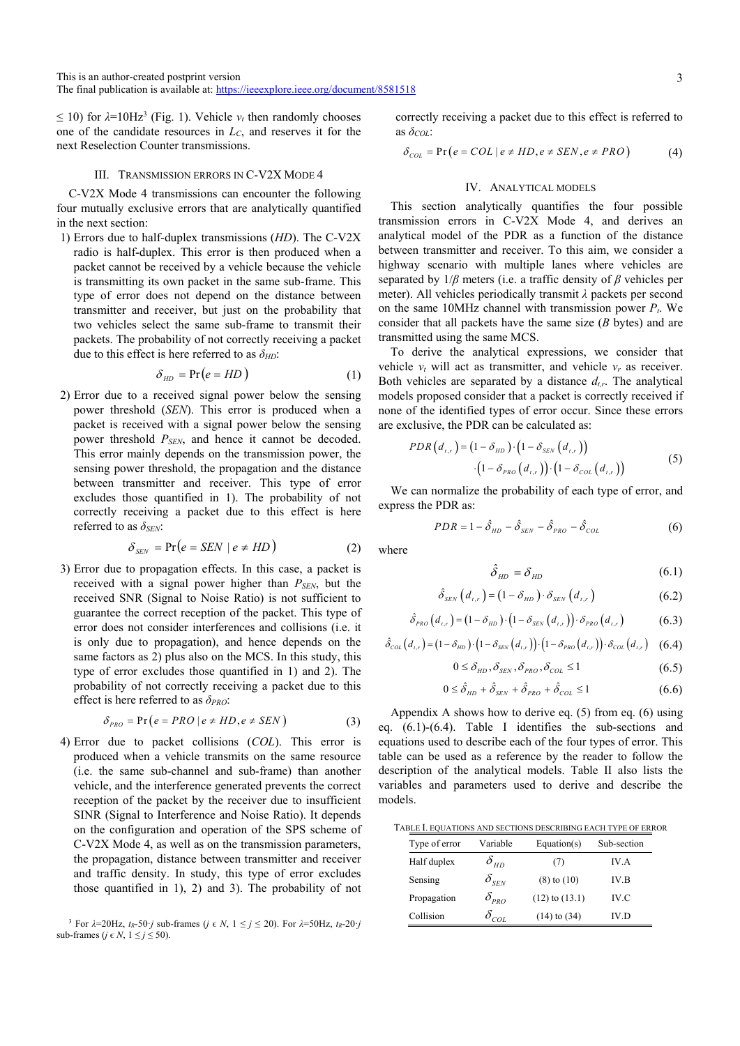$\leq$  10) for  $\lambda$ =10Hz<sup>3</sup> (Fig. 1). Vehicle  $v_t$  then randomly chooses one of the candidate resources in *LC*, and reserves it for the next Reselection Counter transmissions.

### III. TRANSMISSION ERRORS IN C-V2X MODE 4

C-V2X Mode 4 transmissions can encounter the following four mutually exclusive errors that are analytically quantified in the next section:

1) Errors due to half-duplex transmissions (*HD*). The C-V2X radio is half-duplex. This error is then produced when a packet cannot be received by a vehicle because the vehicle is transmitting its own packet in the same sub-frame. This type of error does not depend on the distance between transmitter and receiver, but just on the probability that two vehicles select the same sub-frame to transmit their packets. The probability of not correctly receiving a packet due to this effect is here referred to as *δHD*:

$$
\delta_{HD} = \Pr(e = HD)
$$
 (1)

2) Error due to a received signal power below the sensing power threshold (*SEN*). This error is produced when a packet is received with a signal power below the sensing power threshold  $P_{SEN}$ , and hence it cannot be decoded. This error mainly depends on the transmission power, the sensing power threshold, the propagation and the distance between transmitter and receiver. This type of error excludes those quantified in 1). The probability of not correctly receiving a packet due to this effect is here referred to as *δSEN*:

$$
\delta_{SEN} = \Pr(e = SEN \mid e \neq HD)
$$
 (2)

3) Error due to propagation effects. In this case, a packet is received with a signal power higher than  $P_{SEN}$ , but the received SNR (Signal to Noise Ratio) is not sufficient to guarantee the correct reception of the packet. This type of error does not consider interferences and collisions (i.e. it is only due to propagation), and hence depends on the same factors as 2) plus also on the MCS. In this study, this type of error excludes those quantified in 1) and 2). The probability of not correctly receiving a packet due to this effect is here referred to as *δPRO*:

$$
\delta_{PRO} = \Pr(e = PRO \mid e \neq HD, e \neq SEM)
$$
 (3)

4) Error due to packet collisions (*COL*). This error is produced when a vehicle transmits on the same resource (i.e. the same sub-channel and sub-frame) than another vehicle, and the interference generated prevents the correct reception of the packet by the receiver due to insufficient SINR (Signal to Interference and Noise Ratio). It depends on the configuration and operation of the SPS scheme of C-V2X Mode 4, as well as on the transmission parameters, the propagation, distance between transmitter and receiver and traffic density. In study, this type of error excludes those quantified in 1), 2) and 3). The probability of not correctly receiving a packet due to this effect is referred to as *δCOL*:

$$
\delta_{COL} = \Pr(e = COL \mid e \ne HD, e \ne SEM, e \ne PRO)
$$
 (4)

# IV. ANALYTICAL MODELS

This section analytically quantifies the four possible transmission errors in C-V2X Mode 4, and derives an analytical model of the PDR as a function of the distance between transmitter and receiver. To this aim, we consider a highway scenario with multiple lanes where vehicles are separated by 1/*β* meters (i.e. a traffic density of *β* vehicles per meter). All vehicles periodically transmit *λ* packets per second on the same 10MHz channel with transmission power  $P_t$ . We consider that all packets have the same size (*B* bytes) and are transmitted using the same MCS.

To derive the analytical expressions, we consider that vehicle  $v_t$  will act as transmitter, and vehicle  $v_r$  as receiver. Both vehicles are separated by a distance  $d_{tr}$ . The analytical models proposed consider that a packet is correctly received if none of the identified types of error occur. Since these errors are exclusive, the PDR can be calculated as:

$$
PDR (d_{t,r}) = (1 - δ_{HD}) \cdot (1 - δ_{SEN} (d_{t,r}))
$$
  
·(1 - δ\_{PRO} (d\_{t,r})) (1 - δ\_{COL} (d\_{t,r})) (5)

We can normalize the probability of each type of error, and express the PDR as:

$$
PDR = 1 - \hat{\delta}_{HD} - \hat{\delta}_{SEN} - \hat{\delta}_{PRO} - \hat{\delta}_{COL}
$$
 (6)

where

$$
\hat{\delta}_{HD} = \delta_{HD} \tag{6.1}
$$

$$
\hat{\delta}_{SEN}\left(d_{t,r}\right) = \left(1 - \delta_{HD}\right) \cdot \delta_{SEN}\left(d_{t,r}\right) \tag{6.2}
$$

$$
\hat{\delta}_{PRO}\left(d_{t,r}\right) = \left(1 - \delta_{HD}\right) \cdot \left(1 - \delta_{SEN}\left(d_{t,r}\right)\right) \cdot \delta_{PRO}\left(d_{t,r}\right) \tag{6.3}
$$

$$
\hat{\delta}_{\text{COL}}\left(d_{\text{r,r}}\right) = \left(1 - \delta_{\text{HD}}\right) \cdot \left(1 - \delta_{\text{SEN}}\left(d_{\text{r,r}}\right)\right) \cdot \left(1 - \delta_{\text{PRO}}\left(d_{\text{r,r}}\right)\right) \cdot \delta_{\text{COL}}\left(d_{\text{r,r}}\right) \tag{6.4}
$$

$$
0 \leq \delta_{HD}, \delta_{SEN}, \delta_{PRO}, \delta_{COL} \leq 1 \tag{6.5}
$$

$$
0 \leq \hat{\delta}_{HD} + \hat{\delta}_{SEN} + \hat{\delta}_{PRO} + \hat{\delta}_{COL} \leq 1 \tag{6.6}
$$

Appendix A shows how to derive eq. (5) from eq. (6) using eq. (6.1)-(6.4). Table I identifies the sub-sections and equations used to describe each of the four types of error. This table can be used as a reference by the reader to follow the description of the analytical models. Table II also lists the variables and parameters used to derive and describe the models.

TABLE I. EQUATIONS AND SECTIONS DESCRIBING EACH TYPE OF ERROR

| Type of error | Variable                             | Equation(s)        | Sub-section |
|---------------|--------------------------------------|--------------------|-------------|
| Half duplex   | $\delta_{_{HD}}$                     | (7)                | IV.A        |
| Sensing       | $\delta_{_{SEN}}$                    | $(8)$ to $(10)$    | IV.B        |
| Propagation   | $\delta_{_{PRO}}$                    | $(12)$ to $(13.1)$ | IV.C        |
| Collision     | $\delta_{\rm\scriptscriptstyle COL}$ | $(14)$ to $(34)$   | IV.D        |

<sup>&</sup>lt;sup>3</sup> For  $λ=20Hz$ ,  $t_R-50$  *j* sub-frames (*j* ∈ *N*,  $1 ≤ j ≤ 20$ ). For  $λ=50Hz$ ,  $t_R-20$  *j* sub-frames ( $i \in N$ ,  $1 \le i \le 50$ ).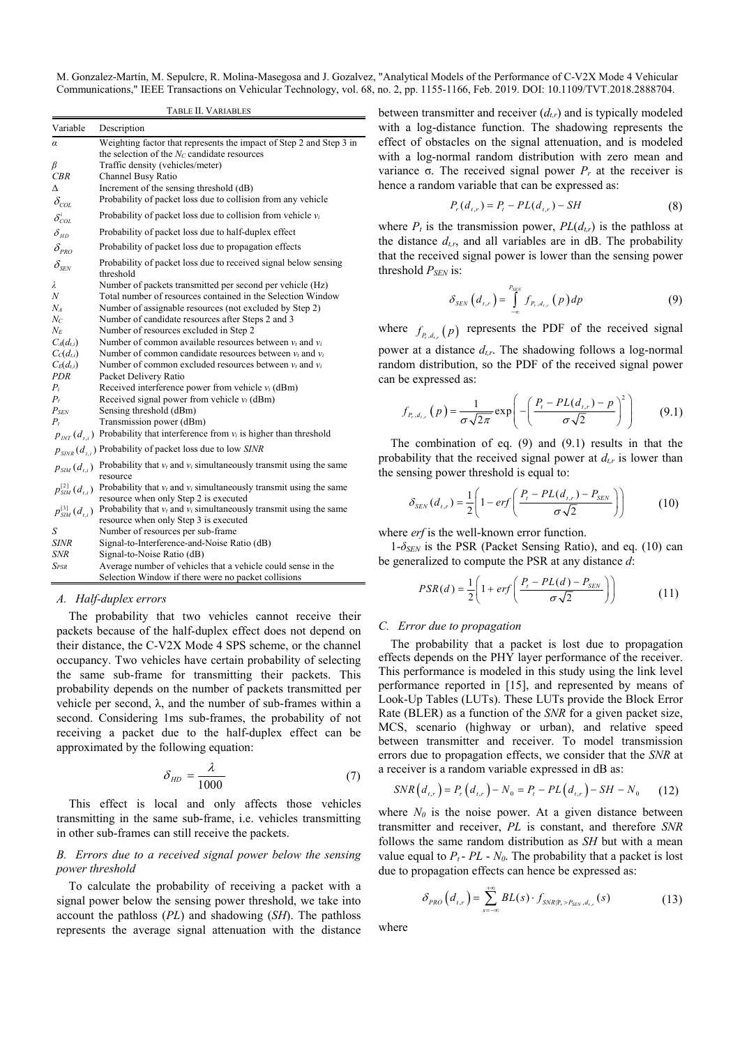|                                                              | TABLE II. VARIABLES                                                                                                                                                             |
|--------------------------------------------------------------|---------------------------------------------------------------------------------------------------------------------------------------------------------------------------------|
| Variable                                                     | Description                                                                                                                                                                     |
| α<br>β<br>CBR                                                | Weighting factor that represents the impact of Step 2 and Step 3 in<br>the selection of the $N_C$ candidate resources<br>Traffic density (vehicles/meter)<br>Channel Busy Ratio |
| Δ<br>$\delta_{\rm\scriptscriptstyle COL}$                    | Increment of the sensing threshold (dB)<br>Probability of packet loss due to collision from any vehicle                                                                         |
| $\delta_{\textit{COL}}^i$                                    | Probability of packet loss due to collision from vehicle $v_i$                                                                                                                  |
| $\delta_{\scriptscriptstyle{HD}}$                            | Probability of packet loss due to half-duplex effect                                                                                                                            |
| $\delta_{\scriptscriptstyle PRO}$                            | Probability of packet loss due to propagation effects                                                                                                                           |
| $\delta_{\scriptscriptstyle SEN}$                            | Probability of packet loss due to received signal below sensing<br>threshold                                                                                                    |
| λ                                                            | Number of packets transmitted per second per vehicle (Hz)                                                                                                                       |
| Ν                                                            | Total number of resources contained in the Selection Window                                                                                                                     |
| Nл                                                           | Number of assignable resources (not excluded by Step 2)                                                                                                                         |
| Nc                                                           | Number of candidate resources after Steps 2 and 3                                                                                                                               |
| $N_E$<br>$C_A(d_{t,i})$                                      | Number of resources excluded in Step 2<br>Number of common available resources between $v_t$ and $v_i$                                                                          |
| C <sub>c</sub> (d <sub>t,i</sub> )                           | Number of common candidate resources between $v_t$ and $v_i$                                                                                                                    |
| $C_E(d_{t,i})$                                               | Number of common excluded resources between $v_t$ and $v_i$                                                                                                                     |
| PDR                                                          | Packet Delivery Ratio                                                                                                                                                           |
| $P_i$                                                        | Received interference power from vehicle $v_i$ (dBm)                                                                                                                            |
| $P_r$                                                        | Received signal power from vehicle $v_t$ (dBm)                                                                                                                                  |
| $P_{SEN}$                                                    | Sensing threshold (dBm)                                                                                                                                                         |
| $P_{t}$                                                      | Transmission power (dBm)                                                                                                                                                        |
|                                                              | $p_{INT}(d_{i,i})$ Probability that interference from $v_i$ is higher than threshold                                                                                            |
|                                                              | $p_{\text{SINR}}(d_{t,i})$ Probability of packet loss due to low SINR                                                                                                           |
| $p_{\scriptscriptstyle S\!I\!M}(d_{\scriptscriptstyle t,i})$ | Probability that $v_t$ and $v_i$ simultaneously transmit using the same<br>resource                                                                                             |
| $p_{\rm SIM}^{[2]}(d_{_{I,i}})$                              | Probability that $v_t$ and $v_i$ simultaneously transmit using the same<br>resource when only Step 2 is executed                                                                |
| $p_{\rm SIM}^{\rm [3]}(d_{\rm \scriptscriptstyle I,i})$      | Probability that $v_t$ and $v_i$ simultaneously transmit using the same<br>resource when only Step 3 is executed                                                                |
| S                                                            | Number of resources per sub-frame                                                                                                                                               |
| SINR                                                         | Signal-to-Interference-and-Noise Ratio (dB)                                                                                                                                     |
| SNR                                                          | Signal-to-Noise Ratio (dB)                                                                                                                                                      |
| Spsr                                                         | Average number of vehicles that a vehicle could sense in the                                                                                                                    |
|                                                              | Selection Window if there were no packet collisions                                                                                                                             |

#### *A. Half-duplex errors*

The probability that two vehicles cannot receive their packets because of the half-duplex effect does not depend on their distance, the C-V2X Mode 4 SPS scheme, or the channel occupancy. Two vehicles have certain probability of selecting the same sub-frame for transmitting their packets. This probability depends on the number of packets transmitted per vehicle per second, λ, and the number of sub-frames within a second. Considering 1ms sub-frames, the probability of not receiving a packet due to the half-duplex effect can be approximated by the following equation:

$$
\delta_{HD} = \frac{\lambda}{1000} \tag{7}
$$

This effect is local and only affects those vehicles transmitting in the same sub-frame, i.e. vehicles transmitting in other sub-frames can still receive the packets.

# *B. Errors due to a received signal power below the sensing power threshold*

To calculate the probability of receiving a packet with a signal power below the sensing power threshold, we take into account the pathloss (*PL*) and shadowing (*SH*). The pathloss represents the average signal attenuation with the distance between transmitter and receiver  $(d_{tr})$  and is typically modeled with a log-distance function. The shadowing represents the effect of obstacles on the signal attenuation, and is modeled with a log-normal random distribution with zero mean and variance σ. The received signal power *Pr* at the receiver is hence a random variable that can be expressed as:

$$
P_r(d_{t,r}) = P_t - PL(d_{t,r}) - SH
$$
\n(8)

where  $P_t$  is the transmission power,  $PL(d_{t,r})$  is the pathloss at the distance  $d_{tr}$ , and all variables are in dB. The probability that the received signal power is lower than the sensing power threshold *P<sub>SEN</sub>* is:

$$
\delta_{SEN}\left(d_{t,r}\right)=\int\limits_{-\infty}^{P_{SEN}}f_{P_r,d_{t,r}}\left(p\right)dp\tag{9}
$$

where  $f_{P_r,d_{r,r}}(p)$  represents the PDF of the received signal power at a distance *dt,r*. The shadowing follows a log-normal random distribution, so the PDF of the received signal power can be expressed as:

$$
f_{P_r,d_{t,r}}(p) = \frac{1}{\sigma\sqrt{2\pi}} \exp\left(-\left(\frac{P_r - PL(d_{t,r}) - p}{\sigma\sqrt{2}}\right)^2\right) \tag{9.1}
$$

The combination of eq. (9) and (9.1) results in that the probability that the received signal power at  $d_{tr}$  is lower than the sensing power threshold is equal to:

$$
\delta_{SEN}(d_{t,r}) = \frac{1}{2} \left( 1 - erf \left( \frac{P_t - PL(d_{t,r}) - P_{SEN}}{\sigma \sqrt{2}} \right) \right)
$$
(10)

where *erf* is the well-known error function.

1-*δSEN* is the PSR (Packet Sensing Ratio), and eq. (10) can be generalized to compute the PSR at any distance *d*:

$$
PSR(d) = \frac{1}{2} \left( 1 + erf\left(\frac{P_t - PL(d) - P_{SEN}}{\sigma \sqrt{2}}\right) \right) \tag{11}
$$

## *C. Error due to propagation*

 The probability that a packet is lost due to propagation effects depends on the PHY layer performance of the receiver. This performance is modeled in this study using the link level performance reported in [15], and represented by means of Look-Up Tables (LUTs). These LUTs provide the Block Error Rate (BLER) as a function of the *SNR* for a given packet size, MCS, scenario (highway or urban), and relative speed between transmitter and receiver. To model transmission errors due to propagation effects, we consider that the *SNR* at a receiver is a random variable expressed in dB as:

$$
SNR(d_{t,r}) = P_r(d_{t,r}) - N_0 = P_t - PL(d_{t,r}) - SH - N_0 \qquad (12)
$$

where  $N_0$  is the noise power. At a given distance between transmitter and receiver, *PL* is constant, and therefore *SNR* follows the same random distribution as *SH* but with a mean value equal to  $P_t$  -  $PL$  -  $N_0$ . The probability that a packet is lost due to propagation effects can hence be expressed as:

$$
\delta_{PRO}\left(d_{t,r}\right) = \sum_{s=-\infty}^{+\infty} BL(s) \cdot f_{SNR|P_r > P_{SEN}, d_{t,r}}(s)
$$
\n(13)

where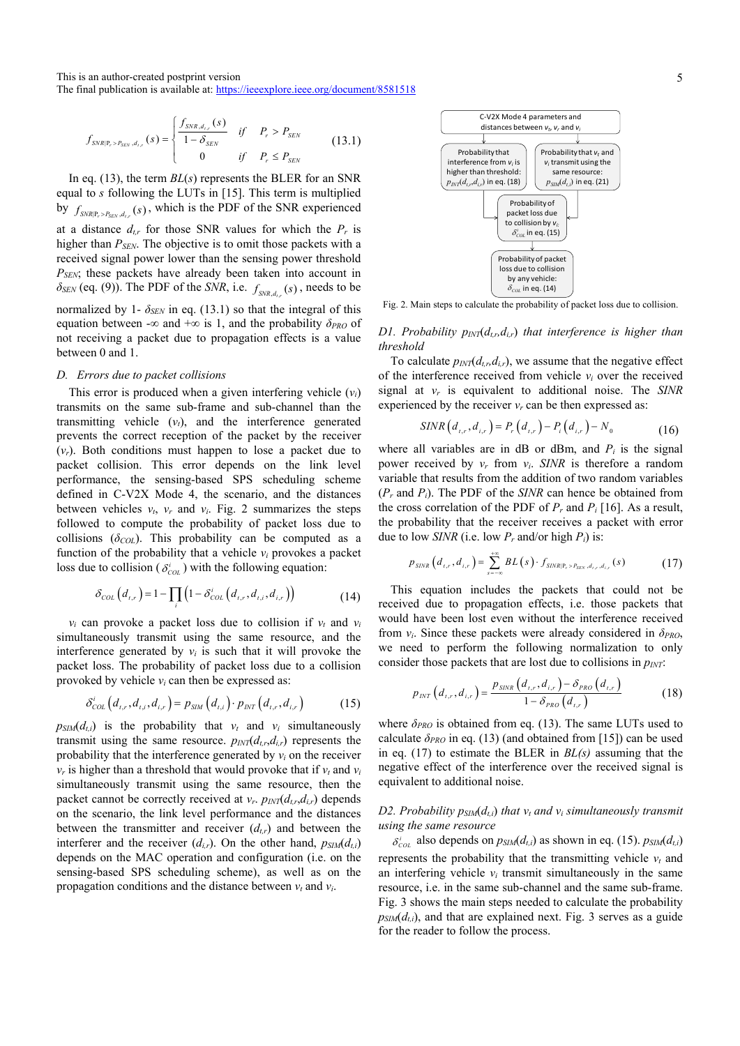This is an author-created postprint version The final publication is available at: https://ieeexplore.ieee.org/document/8581518

$$
f_{SNR|P_r > P_{SEN}, d_{t,r}}(s) = \begin{cases} \frac{f_{SNR,d_{t,r}}(s)}{1 - \delta_{SEN}} & \text{if } P_r > P_{SEN} \\ 0 & \text{if } P_r \le P_{SEN} \end{cases}
$$
(13.1)

In eq. (13), the term *BL*(*s*) represents the BLER for an SNR equal to *s* following the LUTs in [15]. This term is multiplied by  $f_{SNRP, > P_{cav, d_r}}(s)$ , which is the PDF of the SNR experienced at a distance  $d_{tr}$  for those SNR values for which the  $P_r$  is higher than  $P_{SEN}$ . The objective is to omit those packets with a received signal power lower than the sensing power threshold *PSEN*; these packets have already been taken into account in  $\delta_{SEN}$  (eq. (9)). The PDF of the *SNR*, i.e.  $f_{SNR,d}$ <sub>*sNR, d.* (*s*), needs to be</sub> normalized by 1-  $\delta_{SEN}$  in eq. (13.1) so that the integral of this equation between -∞ and +∞ is 1, and the probability  $\delta_{PRO}$  of not receiving a packet due to propagation effects is a value between 0 and 1.

#### *D. Errors due to packet collisions*

This error is produced when a given interfering vehicle  $(v_i)$ transmits on the same sub-frame and sub-channel than the transmitting vehicle  $(v_t)$ , and the interference generated prevents the correct reception of the packet by the receiver (*vr*). Both conditions must happen to lose a packet due to packet collision. This error depends on the link level performance, the sensing-based SPS scheduling scheme defined in C-V2X Mode 4, the scenario, and the distances between vehicles  $v_t$ ,  $v_r$  and  $v_i$ . Fig. 2 summarizes the steps followed to compute the probability of packet loss due to collisions  $(\delta_{COL})$ . This probability can be computed as a function of the probability that a vehicle  $v_i$  provokes a packet loss due to collision ( $\delta_{\text{col}}^i$ ) with the following equation:

$$
\delta_{COL}(d_{t,r}) = 1 - \prod_{i} \left( 1 - \delta_{COL}^{i} \left( d_{t,r}, d_{t,i}, d_{i,r} \right) \right)
$$
(14)

 $v_i$  can provoke a packet loss due to collision if  $v_t$  and  $v_i$ simultaneously transmit using the same resource, and the interference generated by  $v_i$  is such that it will provoke the packet loss. The probability of packet loss due to a collision provoked by vehicle  $v_i$  can then be expressed as:

$$
\delta_{COL}^{i}\left(d_{t,r}, d_{t,i}, d_{i,r}\right) = p_{SIM}\left(d_{t,i}\right) \cdot p_{INT}\left(d_{t,r}, d_{i,r}\right) \tag{15}
$$

 $p_{SIM}(d_{t,i})$  is the probability that  $v_t$  and  $v_i$  simultaneously transmit using the same resource.  $p_{INT}(d_{t,r}, d_{i,r})$  represents the probability that the interference generated by  $v_i$  on the receiver  $v_r$  is higher than a threshold that would provoke that if  $v_t$  and  $v_i$ simultaneously transmit using the same resource, then the packet cannot be correctly received at  $v_r$ .  $p_{INT}(d_{tr}, d_{ir})$  depends on the scenario, the link level performance and the distances between the transmitter and receiver  $(d_{tr})$  and between the interferer and the receiver  $(d_{i,r})$ . On the other hand,  $p_{SIM}(d_{i,i})$ depends on the MAC operation and configuration (i.e. on the sensing-based SPS scheduling scheme), as well as on the propagation conditions and the distance between  $v_t$  and  $v_i$ .

Fig. 2. Main steps to calculate the probability of packet loss due to collision.

# *D1. Probability*  $p_{INT}(d_{t,r}, d_{t,r})$  *that interference is higher than threshold*

To calculate  $p_{\text{INT}}(d_{t,r}, d_{t,r})$ , we assume that the negative effect of the interference received from vehicle  $v_i$  over the received signal at *vr* is equivalent to additional noise. The *SINR* experienced by the receiver  $v_r$  can be then expressed as:

$$
SINR(d_{t,r}, d_{i,r}) = P_r(d_{t,r}) - P_i(d_{i,r}) - N_0
$$
\n(16)

where all variables are in dB or dBm, and  $P_i$  is the signal power received by  $v_r$  from  $v_i$ . *SINR* is therefore a random variable that results from the addition of two random variables (*Pr* and *Pi*). The PDF of the *SINR* can hence be obtained from the cross correlation of the PDF of  $P_r$  and  $P_i$  [16]. As a result, the probability that the receiver receives a packet with error due to low *SINR* (i.e. low  $P_r$  and/or high  $P_i$ ) is:

$$
p_{\text{SINR}}(d_{t,r}, d_{t,r}) = \sum_{s=-\infty}^{+\infty} BL(s) \cdot f_{\text{SINR}|\mathbb{P}_r > P_{\text{SEN}}, d_{t,r}, d_{t,r}}(s) \tag{17}
$$

This equation includes the packets that could not be received due to propagation effects, i.e. those packets that would have been lost even without the interference received from  $v_i$ . Since these packets were already considered in  $\delta_{PRO}$ , we need to perform the following normalization to only consider those packets that are lost due to collisions in  $p_{NT}$ .

$$
p_{INT}\left(d_{t,r}, d_{i,r}\right) = \frac{p_{SINR}\left(d_{t,r}, d_{i,r}\right) - \delta_{PRO}\left(d_{t,r}\right)}{1 - \delta_{PRO}\left(d_{t,r}\right)}
$$
(18)

where  $\delta_{PRO}$  is obtained from eq. (13). The same LUTs used to calculate  $\delta_{PRO}$  in eq. (13) (and obtained from [15]) can be used in eq. (17) to estimate the BLER in *BL(s)* assuming that the negative effect of the interference over the received signal is equivalent to additional noise.

# *D2. Probability*  $p_{SIM}(d_{ti})$  *that*  $v_t$  *and*  $v_i$  *simultaneously transmit using the same resource*

 $\delta_{\text{COL}}^i$  also depends on  $p_{\text{SIM}}(d_{t,i})$  as shown in eq. (15).  $p_{\text{SIM}}(d_{t,i})$ represents the probability that the transmitting vehicle  $v_t$  and an interfering vehicle  $v_i$  transmit simultaneously in the same resource, i.e. in the same sub-channel and the same sub-frame. Fig. 3 shows the main steps needed to calculate the probability  $p_{SIM}(d_{Li})$ , and that are explained next. Fig. 3 serves as a guide for the reader to follow the process.

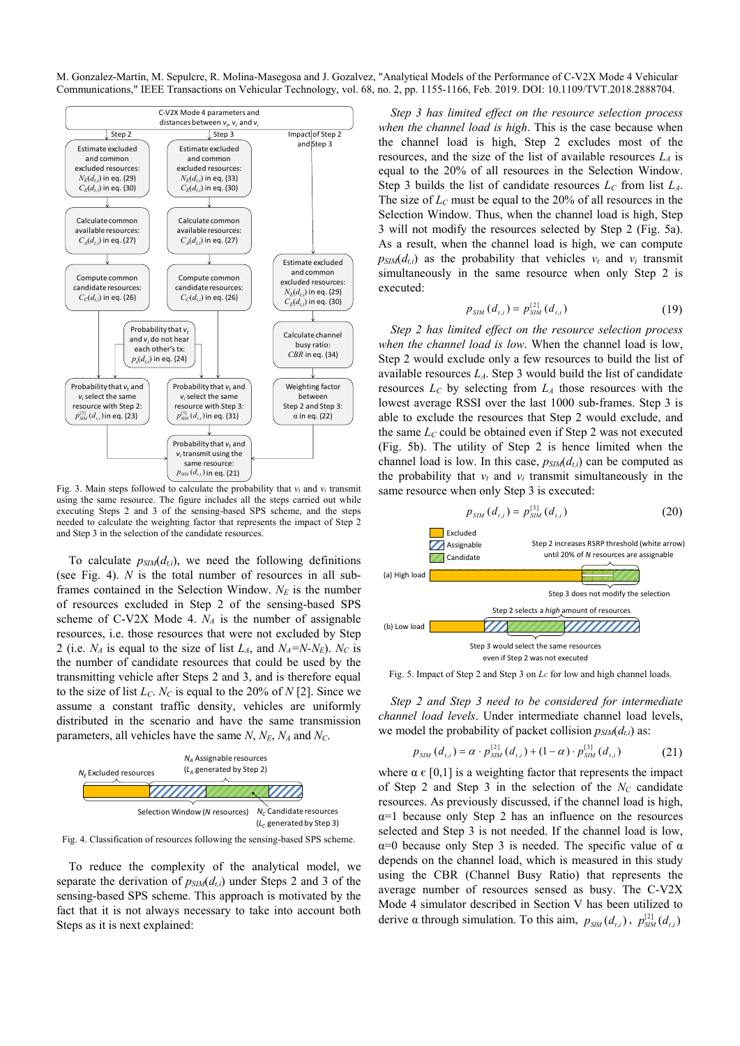

using the same resource. The figure includes all the steps carried out while executing Steps 2 and 3 of the sensing-based SPS scheme, and the steps needed to calculate the weighting factor that represents the impact of Step 2 and Step 3 in the selection of the candidate resources.

To calculate  $p_{SIM}(d_{t,i})$ , we need the following definitions (see Fig. 4). *N* is the total number of resources in all subframes contained in the Selection Window. N<sub>E</sub> is the number of resources excluded in Step 2 of the sensing-based SPS scheme of C-V2X Mode 4.  $N_A$  is the number of assignable resources, i.e. those resources that were not excluded by Step 2 (i.e.  $N_A$  is equal to the size of list  $L_A$ , and  $N_A=N-N_E$ ).  $N_C$  is the number of candidate resources that could be used by the transmitting vehicle after Steps 2 and 3, and is therefore equal to the size of list  $L_c$ .  $N_c$  is equal to the 20% of  $N$  [2]. Since we assume a constant traffic density, vehicles are uniformly distributed in the scenario and have the same transmission parameters, all vehicles have the same  $N$ ,  $N_E$ ,  $N_A$  and  $N_C$ .



Fig. 4. Classification of resources following the sensing-based SPS scheme.

To reduce the complexity of the analytical model, we separate the derivation of  $p_{SIM}(d_{ti})$  under Steps 2 and 3 of the sensing-based SPS scheme. This approach is motivated by the fact that it is not always necessary to take into account both Steps as it is next explained:

*Step 3 has limited effect on the resource selection process when the channel load is high*. This is the case because when the channel load is high, Step 2 excludes most of the resources, and the size of the list of available resources  $L_A$  is equal to the 20% of all resources in the Selection Window. Step 3 builds the list of candidate resources  $L_c$  from list  $L_A$ . The size of  $L<sub>C</sub>$  must be equal to the 20% of all resources in the Selection Window. Thus, when the channel load is high, Step 3 will not modify the resources selected by Step 2 (Fig. 5a). As a result, when the channel load is high, we can compute  $p_{SIM}(d_{t,i})$  as the probability that vehicles  $v_t$  and  $v_i$  transmit simultaneously in the same resource when only Step 2 is executed:

$$
p_{\rm SIM}(d_{t,i}) = p_{\rm SIM}^{[2]}(d_{t,i}) \tag{19}
$$

*Step 2 has limited effect on the resource selection process when the channel load is low*. When the channel load is low, Step 2 would exclude only a few resources to build the list of available resources  $L_A$ . Step 3 would build the list of candidate resources *LC* by selecting from *LA* those resources with the lowest average RSSI over the last 1000 sub-frames. Step 3 is able to exclude the resources that Step 2 would exclude, and the same  $L<sub>C</sub>$  could be obtained even if Step 2 was not executed (Fig. 5b). The utility of Step 2 is hence limited when the channel load is low. In this case,  $p_{SIM}(d_{i,i})$  can be computed as the probability that  $v_t$  and  $v_i$  transmit simultaneously in the same resource when only Step 3 is executed:

$$
p_{\rm SIM}(d_{t,i}) = p_{\rm SIM}^{[3]}(d_{t,i}) \tag{20}
$$



Fig. 5. Impact of Step 2 and Step 3 on *L<sub>C</sub>* for low and high channel loads.

*Step 2 and Step 3 need to be considered for intermediate channel load levels*. Under intermediate channel load levels, we model the probability of packet collision  $p_{SIM}(d_{ti})$  as:

$$
p_{\text{SIM}}(d_{t,i}) = \alpha \cdot p_{\text{SIM}}^{[2]}(d_{t,i}) + (1 - \alpha) \cdot p_{\text{SIM}}^{[3]}(d_{t,i}) \tag{21}
$$

where  $\alpha \in [0,1]$  is a weighting factor that represents the impact of Step 2 and Step 3 in the selection of the  $N_c$  candidate resources. As previously discussed, if the channel load is high,  $\alpha=1$  because only Step 2 has an influence on the resources selected and Step 3 is not needed. If the channel load is low,  $\alpha=0$  because only Step 3 is needed. The specific value of  $\alpha$ depends on the channel load, which is measured in this study using the CBR (Channel Busy Ratio) that represents the average number of resources sensed as busy. The C-V2X Mode 4 simulator described in Section V has been utilized to derive  $\alpha$  through simulation. To this aim,  $p_{\text{SIM}}(d_{t,i})$ ,  $p_{\text{SIM}}^{[2]}(d_{t,i})$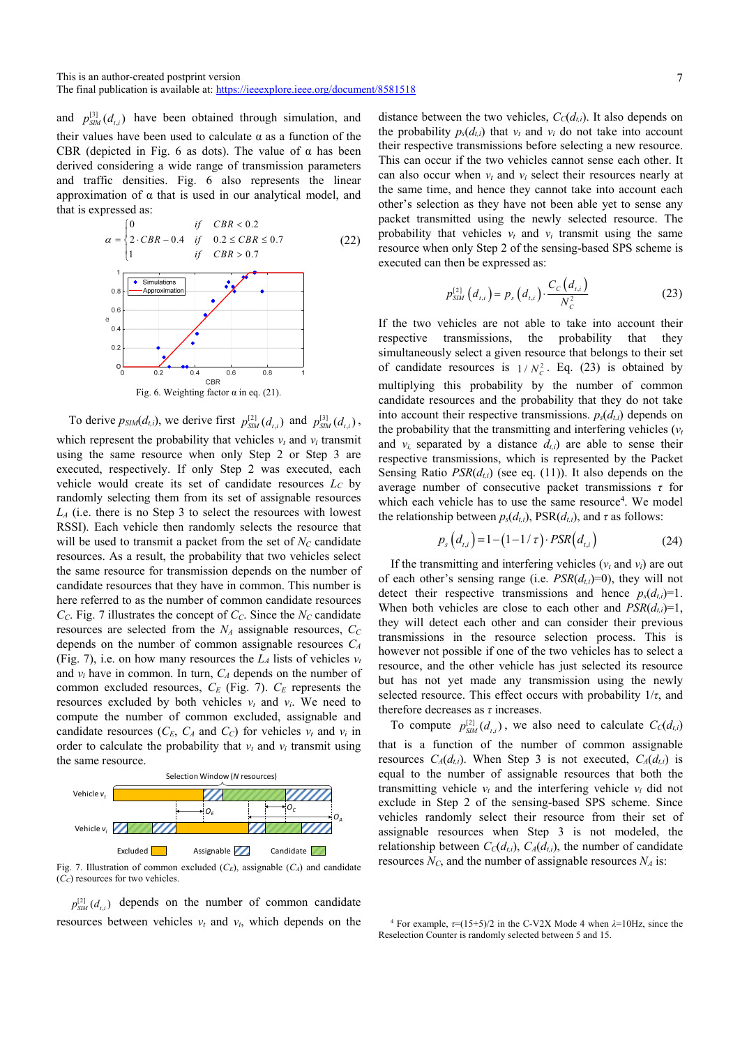and  $p_{SM}^{[3]}(d_{t,i})$  have been obtained through simulation, and their values have been used to calculate  $\alpha$  as a function of the CBR (depicted in Fig. 6 as dots). The value of  $\alpha$  has been derived considering a wide range of transmission parameters and traffic densities. Fig. 6 also represents the linear approximation of  $\alpha$  that is used in our analytical model, and that is expressed as:



To derive  $p_{SIM}(d_{t,i})$ , we derive first  $p_{SIM}^{[2]}(d_{t,i})$  and  $p_{SIM}^{[3]}(d_{t,i})$ , which represent the probability that vehicles  $v_t$  and  $v_i$  transmit using the same resource when only Step 2 or Step 3 are executed, respectively. If only Step 2 was executed, each vehicle would create its set of candidate resources *LC* by randomly selecting them from its set of assignable resources *LA* (i.e. there is no Step 3 to select the resources with lowest RSSI). Each vehicle then randomly selects the resource that will be used to transmit a packet from the set of  $N_c$  candidate resources. As a result, the probability that two vehicles select the same resource for transmission depends on the number of candidate resources that they have in common. This number is here referred to as the number of common candidate resources  $C<sub>C</sub>$ . Fig. 7 illustrates the concept of  $C<sub>C</sub>$ . Since the  $N<sub>C</sub>$  candidate resources are selected from the  $N_A$  assignable resources,  $C_C$ depends on the number of common assignable resources *CA* (Fig. 7), i.e. on how many resources the  $L_A$  lists of vehicles  $v_t$ and  $v_i$  have in common. In turn,  $C_A$  depends on the number of common excluded resources, *CE* (Fig. 7). *CE* represents the resources excluded by both vehicles  $v_t$  and  $v_i$ . We need to compute the number of common excluded, assignable and candidate resources  $(C_E, C_A \text{ and } C_C)$  for vehicles  $v_t$  and  $v_i$  in order to calculate the probability that  $v_t$  and  $v_i$  transmit using the same resource.



Fig. 7. Illustration of common excluded  $(C_E)$ , assignable  $(C_A)$  and candidate  $(\tilde{C}_C)$  resources for two vehicles.

 $p_{\text{SM}}^{[2]}(d_{\text{r},i})$  depends on the number of common candidate resources between vehicles  $v_t$  and  $v_i$ , which depends on the

distance between the two vehicles,  $C_{\text{C}}(d_{t,i})$ . It also depends on the probability  $p_s(d_{t,i})$  that  $v_t$  and  $v_i$  do not take into account their respective transmissions before selecting a new resource. This can occur if the two vehicles cannot sense each other. It can also occur when  $v_t$  and  $v_i$  select their resources nearly at the same time, and hence they cannot take into account each other's selection as they have not been able yet to sense any packet transmitted using the newly selected resource. The probability that vehicles  $v_t$  and  $v_i$  transmit using the same resource when only Step 2 of the sensing-based SPS scheme is executed can then be expressed as:

$$
p_{SIM}^{[2]}(d_{i,i}) = p_s(d_{i,i}) \cdot \frac{C_c(d_{i,i})}{N_c^2}
$$
 (23)

If the two vehicles are not able to take into account their respective transmissions, the probability that they simultaneously select a given resource that belongs to their set of candidate resources is  $1 / N_c^2$ . Eq. (23) is obtained by multiplying this probability by the number of common candidate resources and the probability that they do not take into account their respective transmissions.  $p_s(d_{t,i})$  depends on the probability that the transmitting and interfering vehicles  $(v<sub>t</sub>)$ and  $v_i$  separated by a distance  $d_{t,i}$ ) are able to sense their respective transmissions, which is represented by the Packet Sensing Ratio  $PSR(d_{ti})$  (see eq. (11)). It also depends on the average number of consecutive packet transmissions *τ* for which each vehicle has to use the same resource<sup>4</sup>. We model the relationship between  $p_s(d_{t,i})$ ,  $PSR(d_{t,i})$ , and  $\tau$  as follows:

$$
p_s(d_{t,i}) = 1 - (1 - 1/\tau) \cdot PSR(d_{t,i})
$$
\n(24)

If the transmitting and interfering vehicles  $(v_t \text{ and } v_i)$  are out of each other's sensing range (i.e.  $PSR(d_{ti})=0$ ), they will not detect their respective transmissions and hence  $p_s(d_i)=1$ . When both vehicles are close to each other and  $PSR(d_{t,i})=1$ , they will detect each other and can consider their previous transmissions in the resource selection process. This is however not possible if one of the two vehicles has to select a resource, and the other vehicle has just selected its resource but has not yet made any transmission using the newly selected resource. This effect occurs with probability  $1/\tau$ , and therefore decreases as *τ* increases.

To compute  $p_{SM}^{[2]}(d_{t,i})$ , we also need to calculate  $C_c(d_{t,i})$ that is a function of the number of common assignable resources  $C_A(d_{i,j})$ . When Step 3 is not executed,  $C_A(d_{i,j})$  is equal to the number of assignable resources that both the transmitting vehicle  $v_t$  and the interfering vehicle  $v_i$  did not exclude in Step 2 of the sensing-based SPS scheme. Since vehicles randomly select their resource from their set of assignable resources when Step 3 is not modeled, the relationship between  $C_C(d_{ti})$ ,  $C_A(d_{ti})$ , the number of candidate resources  $N_c$ , and the number of assignable resources  $N_A$  is:

<sup>&</sup>lt;sup>4</sup> For example,  $\tau$ =(15+5)/2 in the C-V2X Mode 4 when  $\lambda$ =10Hz, since the Reselection Counter is randomly selected between 5 and 15.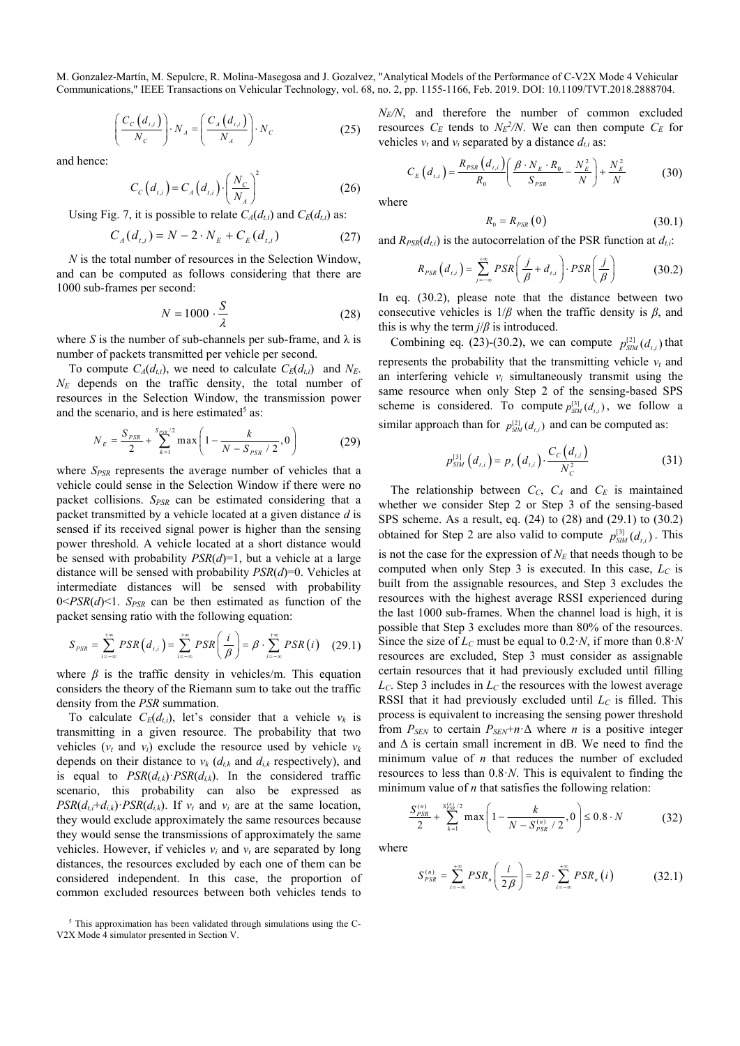$$
\left(\frac{C_c(d_{t,i})}{N_c}\right) \cdot N_A = \left(\frac{C_A(d_{t,i})}{N_A}\right) \cdot N_c \tag{25}
$$

and hence:

$$
C_C(d_{i,i}) = C_A(d_{i,i}) \cdot \left(\frac{N_C}{N_A}\right)^2
$$
 (26)

Using Fig. 7, it is possible to relate  $C_A(d_{t,i})$  and  $C_E(d_{t,i})$  as:

$$
C_A(d_{t,i}) = N - 2 \cdot N_E + C_E(d_{t,i})
$$
 (27)

*N* is the total number of resources in the Selection Window, and can be computed as follows considering that there are 1000 sub-frames per second:

$$
N = 1000 \cdot \frac{S}{\lambda} \tag{28}
$$

where *S* is the number of sub-channels per sub-frame, and  $\lambda$  is number of packets transmitted per vehicle per second.

To compute  $C_A(d_{ti})$ , we need to calculate  $C_E(d_{ti})$  and  $N_E$ . *NE* depends on the traffic density, the total number of resources in the Selection Window, the transmission power and the scenario, and is here estimated<sup>5</sup> as:

$$
N_E = \frac{S_{PSR}}{2} + \sum_{k=1}^{S_{PSR}/2} \max\left(1 - \frac{k}{N - S_{PSR}/2}, 0\right)
$$
(29)

where *S<sub>PSR</sub>* represents the average number of vehicles that a vehicle could sense in the Selection Window if there were no packet collisions. *SPSR* can be estimated considering that a packet transmitted by a vehicle located at a given distance *d* is sensed if its received signal power is higher than the sensing power threshold. A vehicle located at a short distance would be sensed with probability *PSR*(*d*)=1, but a vehicle at a large distance will be sensed with probability *PSR*(*d*)=0. Vehicles at intermediate distances will be sensed with probability  $0 < PSR(d) < 1$ . *S<sub>PSR</sub>* can be then estimated as function of the packet sensing ratio with the following equation:

$$
S_{PSR} = \sum_{i=-\infty}^{+\infty} PSR\left(d_{i,i}\right) = \sum_{i=-\infty}^{+\infty} PSR\left(\frac{i}{\beta}\right) = \beta \cdot \sum_{i=-\infty}^{+\infty} PSR\left(i\right) \quad (29.1)
$$

where  $\beta$  is the traffic density in vehicles/m. This equation considers the theory of the Riemann sum to take out the traffic density from the *PSR* summation.

To calculate  $C_E(d_{t,i})$ , let's consider that a vehicle  $v_k$  is transmitting in a given resource. The probability that two vehicles  $(v_t$  and  $v_i)$  exclude the resource used by vehicle  $v_k$ depends on their distance to  $v_k$  ( $d_{t,k}$  and  $d_{i,k}$  respectively), and is equal to  $PSR(d_{t,k})$ <sup> $\cdot$ </sup>*PSR*( $d_{i,k}$ ). In the considered traffic scenario, this probability can also be expressed as  $PSR(d_t + d_{i,k}) \cdot PSR(d_{i,k})$ . If  $v_t$  and  $v_i$  are at the same location, they would exclude approximately the same resources because they would sense the transmissions of approximately the same vehicles. However, if vehicles  $v_i$  and  $v_t$  are separated by long distances, the resources excluded by each one of them can be considered independent. In this case, the proportion of common excluded resources between both vehicles tends to *NE/N*, and therefore the number of common excluded resources  $C_E$  tends to  $N_E^2/N$ . We can then compute  $C_E$  for vehicles  $v_t$  and  $v_i$  separated by a distance  $d_{t,i}$  as:

$$
C_{E}\left(d_{t,i}\right) = \frac{R_{PSR}\left(d_{t,i}\right)}{R_{0}} \left(\frac{\beta \cdot N_{E} \cdot R_{0}}{S_{PSR}} - \frac{N_{E}^{2}}{N}\right) + \frac{N_{E}^{2}}{N}
$$
(30)

where

$$
R_0 = R_{PSR} (0) \tag{30.1}
$$

and  $R_{PSR}(d_{t,i})$  is the autocorrelation of the PSR function at  $d_{t,i}$ :

$$
R_{PSR}\left(d_{t,i}\right) = \sum_{j=-\infty}^{+\infty} PSR\left(\frac{j}{\beta} + d_{t,i}\right) \cdot PSR\left(\frac{j}{\beta}\right) \tag{30.2}
$$

In eq. (30.2), please note that the distance between two consecutive vehicles is 1/*β* when the traffic density is *β*, and this is why the term  $j/\beta$  is introduced.

Combining eq. (23)-(30.2), we can compute  $p_{\text{SM}}^{[2]}(d_{t,i})$  that represents the probability that the transmitting vehicle  $v_t$  and an interfering vehicle  $v_i$  simultaneously transmit using the same resource when only Step 2 of the sensing-based SPS scheme is considered. To compute  $p_{SM}^{[3]}(d_{i,j})$ , we follow a similar approach than for  $p_{SM}^{[2]}(d_{i,i})$  and can be computed as:

$$
p_{\rm SIM}^{[3]}(d_{t,i}) = p_s(d_{t,i}) \cdot \frac{C_c(d_{t,i})}{N_c^2}
$$
 (31)

The relationship between *CC*, *CA* and *CE* is maintained whether we consider Step 2 or Step 3 of the sensing-based SPS scheme. As a result, eq. (24) to (28) and (29.1) to (30.2) obtained for Step 2 are also valid to compute  $p_{SM}^{[3]}(d_{t,i})$ . This is not the case for the expression of  $N_E$  that needs though to be computed when only Step 3 is executed. In this case,  $L_C$  is built from the assignable resources, and Step 3 excludes the resources with the highest average RSSI experienced during the last 1000 sub-frames. When the channel load is high, it is possible that Step 3 excludes more than 80% of the resources. Since the size of  $L<sub>C</sub>$  must be equal to 0.2 $\cdot$ *N*, if more than 0.8 $\cdot$ *N* resources are excluded, Step 3 must consider as assignable certain resources that it had previously excluded until filling  $L_c$ . Step 3 includes in  $L_c$  the resources with the lowest average RSSI that it had previously excluded until *LC* is filled. This process is equivalent to increasing the sensing power threshold from  $P_{SEN}$  to certain  $P_{SEN}$ + $n \Delta$  where *n* is a positive integer and Δ is certain small increment in dB. We need to find the minimum value of *n* that reduces the number of excluded resources to less than  $0.8$ *·N*. This is equivalent to finding the minimum value of *n* that satisfies the following relation:

$$
\frac{S_{PSR}^{(n)}}{2} + \sum_{k=1}^{S_{PSR}^{(n)}/2} \max\left(1 - \frac{k}{N - S_{PSR}^{(n)}/2}, 0\right) \le 0.8 \cdot N \tag{32}
$$

where

$$
S_{PSR}^{(n)} = \sum_{i=-\infty}^{+\infty} PSR_n \left( \frac{i}{2\beta} \right) = 2\beta \cdot \sum_{i=-\infty}^{+\infty} PSR_n \left( i \right) \tag{32.1}
$$

<sup>&</sup>lt;sup>5</sup> This approximation has been validated through simulations using the C-V2X Mode 4 simulator presented in Section V.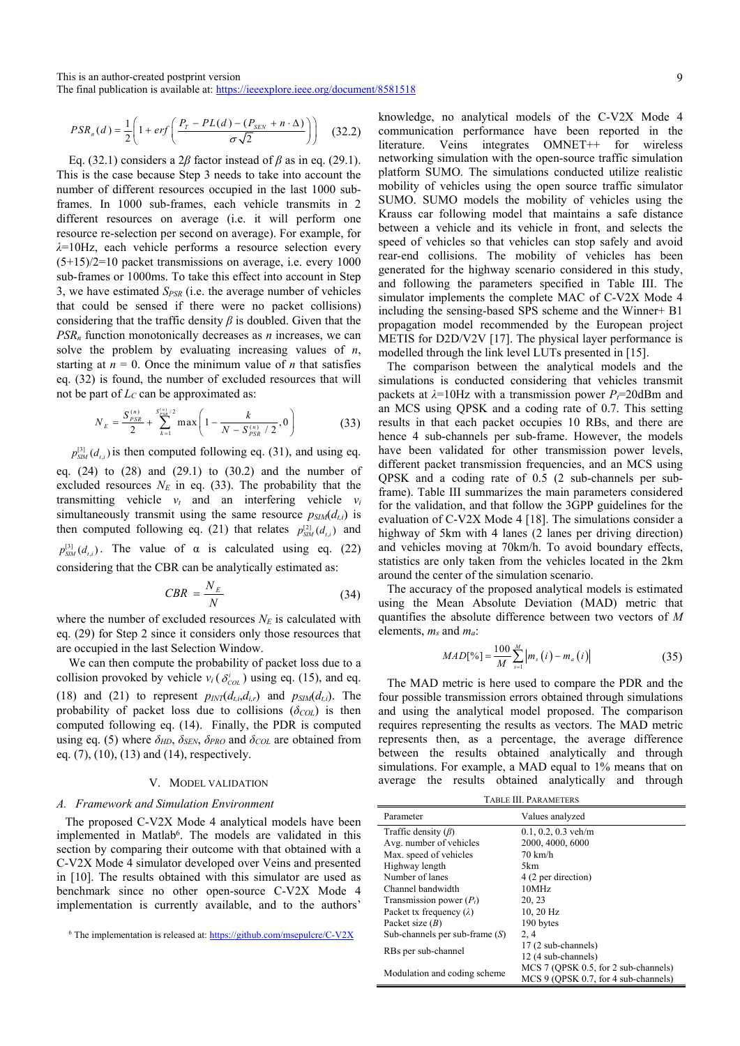$$
PSR_n(d) = \frac{1}{2} \left( 1 + erf \left( \frac{P_T - PL(d) - (P_{SEN} + n \cdot \Delta)}{\sigma \sqrt{2}} \right) \right) \tag{32.2}
$$

Eq. (32.1) considers a 2*β* factor instead of *β* as in eq. (29.1). This is the case because Step 3 needs to take into account the number of different resources occupied in the last 1000 subframes. In 1000 sub-frames, each vehicle transmits in 2 different resources on average (i.e. it will perform one resource re-selection per second on average). For example, for *λ*=10Hz, each vehicle performs a resource selection every (5+15)/2=10 packet transmissions on average, i.e. every 1000 sub-frames or 1000ms. To take this effect into account in Step 3, we have estimated *SPSR* (i.e. the average number of vehicles that could be sensed if there were no packet collisions) considering that the traffic density  $\beta$  is doubled. Given that the  $PSR<sub>n</sub>$  function monotonically decreases as  $n$  increases, we can solve the problem by evaluating increasing values of *n*, starting at  $n = 0$ . Once the minimum value of *n* that satisfies eq. (32) is found, the number of excluded resources that will not be part of  $L<sub>C</sub>$  can be approximated as:

$$
N_E = \frac{S_{PSR}^{(n)}}{2} + \sum_{k=1}^{S_{PSR}^{(n)}/2} \max\left(1 - \frac{k}{N - S_{PSR}^{(n)}/2}, 0\right)
$$
(33)

 $p_{\text{SM}}^{[3]}(d_{\text{r},i})$  is then computed following eq. (31), and using eq. eq.  $(24)$  to  $(28)$  and  $(29.1)$  to  $(30.2)$  and the number of excluded resources  $N_E$  in eq. (33). The probability that the transmitting vehicle  $v_t$  and an interfering vehicle  $v_i$ simultaneously transmit using the same resource  $p_{SIM}(d_{t,i})$  is then computed following eq. (21) that relates  $p_{SM}^{[2]}(d_{t,i})$  and  $p_{\text{SM}}^{[3]}(d_{\text{r},i})$ . The value of  $\alpha$  is calculated using eq. (22) considering that the CBR can be analytically estimated as:

$$
CBR = \frac{N_E}{N}
$$
 (34)

where the number of excluded resources  $N_E$  is calculated with eq. (29) for Step 2 since it considers only those resources that are occupied in the last Selection Window.

We can then compute the probability of packet loss due to a collision provoked by vehicle  $v_i$  ( $\delta_{COL}^i$ ) using eq. (15), and eq. (18) and (21) to represent  $p_{\text{INT}}(d_{t,i}, d_{i,r})$  and  $p_{\text{SIM}}(d_{t,i})$ . The probability of packet loss due to collisions  $(\delta_{COL})$  is then computed following eq. (14). Finally, the PDR is computed using eq. (5) where  $\delta_{HD}$ ,  $\delta_{SEN}$ ,  $\delta_{PRO}$  and  $\delta_{COL}$  are obtained from eq. (7), (10), (13) and (14), respectively.

#### V. MODEL VALIDATION

## *A. Framework and Simulation Environment*

The proposed C-V2X Mode 4 analytical models have been implemented in Matlab<sup>6</sup>. The models are validated in this section by comparing their outcome with that obtained with a C-V2X Mode 4 simulator developed over Veins and presented in [10]. The results obtained with this simulator are used as benchmark since no other open-source C-V2X Mode 4 implementation is currently available, and to the authors'

knowledge, no analytical models of the C-V2X Mode 4 communication performance have been reported in the literature. Veins integrates OMNET++ for wireless networking simulation with the open-source traffic simulation platform SUMO. The simulations conducted utilize realistic mobility of vehicles using the open source traffic simulator SUMO. SUMO models the mobility of vehicles using the Krauss car following model that maintains a safe distance between a vehicle and its vehicle in front, and selects the speed of vehicles so that vehicles can stop safely and avoid rear-end collisions. The mobility of vehicles has been generated for the highway scenario considered in this study, and following the parameters specified in Table III. The simulator implements the complete MAC of C-V2X Mode 4 including the sensing-based SPS scheme and the Winner+ B1 propagation model recommended by the European project METIS for D2D/V2V [17]. The physical layer performance is modelled through the link level LUTs presented in [15].

The comparison between the analytical models and the simulations is conducted considering that vehicles transmit packets at  $\lambda$ =10Hz with a transmission power *P*<sub> $\tau$ </sub>=20dBm and an MCS using QPSK and a coding rate of 0.7. This setting results in that each packet occupies 10 RBs, and there are hence 4 sub-channels per sub-frame. However, the models have been validated for other transmission power levels, different packet transmission frequencies, and an MCS using QPSK and a coding rate of 0.5 (2 sub-channels per subframe). Table III summarizes the main parameters considered for the validation, and that follow the 3GPP guidelines for the evaluation of C-V2X Mode 4 [18]. The simulations consider a highway of 5km with 4 lanes (2 lanes per driving direction) and vehicles moving at 70km/h. To avoid boundary effects, statistics are only taken from the vehicles located in the 2km around the center of the simulation scenario.

The accuracy of the proposed analytical models is estimated using the Mean Absolute Deviation (MAD) metric that quantifies the absolute difference between two vectors of *M* elements, *ms* and *ma*:

$$
MAD[%] = \frac{100}{M} \sum_{i=1}^{M} |m_s(i) - m_a(i)|
$$
 (35)

The MAD metric is here used to compare the PDR and the four possible transmission errors obtained through simulations and using the analytical model proposed. The comparison requires representing the results as vectors. The MAD metric represents then, as a percentage, the average difference between the results obtained analytically and through simulations. For example, a MAD equal to 1% means that on average the results obtained analytically and through

| TABLE III. PARAMETERS |  |
|-----------------------|--|
|-----------------------|--|

| Parameter                        | Values analyzed                      |  |  |  |
|----------------------------------|--------------------------------------|--|--|--|
| Traffic density $(\beta)$        | $0.1, 0.2, 0.3$ veh/m                |  |  |  |
| Avg. number of vehicles          | 2000, 4000, 6000                     |  |  |  |
| Max. speed of vehicles           | 70 km/h                              |  |  |  |
| Highway length                   | 5km                                  |  |  |  |
| Number of lanes                  | 4 (2 per direction)                  |  |  |  |
| Channel bandwidth                | 10MHz                                |  |  |  |
| Transmission power $(P_t)$       | 20, 23                               |  |  |  |
| Packet tx frequency $(\lambda)$  | 10, 20 Hz                            |  |  |  |
| Packet size $(B)$                | 190 bytes                            |  |  |  |
| Sub-channels per sub-frame $(S)$ | 2, 4                                 |  |  |  |
|                                  | 17 (2 sub-channels)                  |  |  |  |
| RBs per sub-channel              | 12 (4 sub-channels)                  |  |  |  |
| Modulation and coding scheme     | MCS 7 (QPSK 0.5, for 2 sub-channels) |  |  |  |
|                                  | MCS 9 (OPSK 0.7, for 4 sub-channels) |  |  |  |

 $6$  The implementation is released at: https://github.com/msepulcre/C-V2X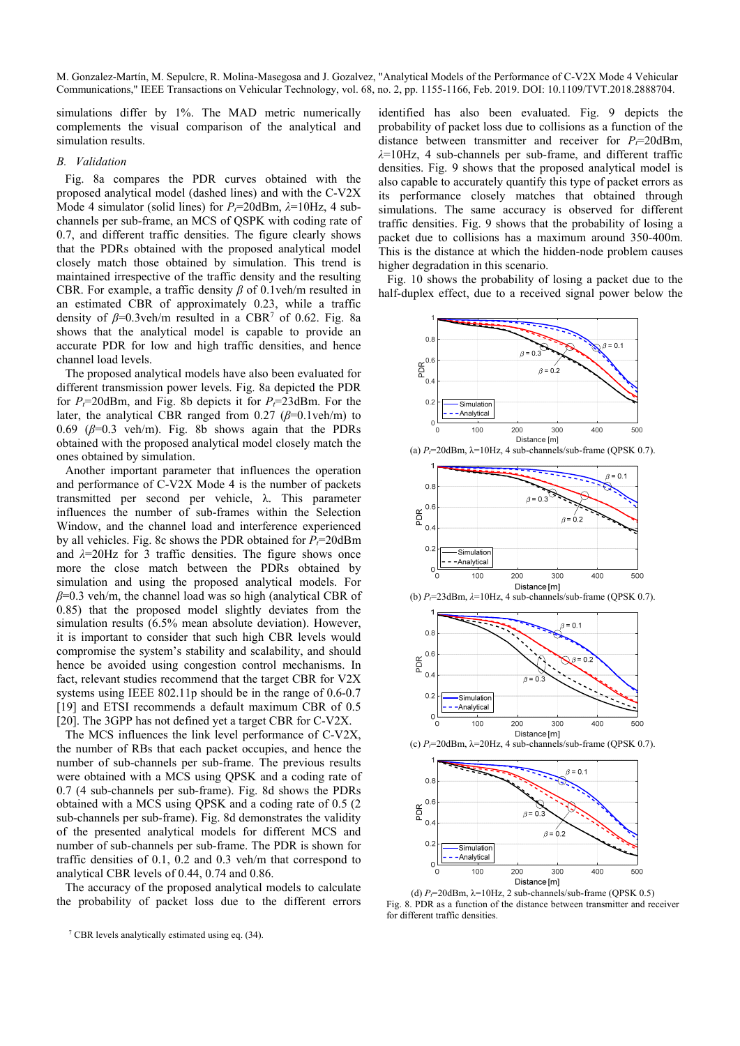simulations differ by 1%. The MAD metric numerically complements the visual comparison of the analytical and simulation results.

# *B. Validation*

Fig. 8a compares the PDR curves obtained with the proposed analytical model (dashed lines) and with the C-V2X Mode 4 simulator (solid lines) for  $P_f$ =20dBm,  $\lambda$ =10Hz, 4 subchannels per sub-frame, an MCS of QSPK with coding rate of 0.7, and different traffic densities. The figure clearly shows that the PDRs obtained with the proposed analytical model closely match those obtained by simulation. This trend is maintained irrespective of the traffic density and the resulting CBR. For example, a traffic density *β* of 0.1veh/m resulted in an estimated CBR of approximately 0.23, while a traffic density of  $\beta$ =0.3veh/m resulted in a CBR<sup>7</sup> of 0.62. Fig. 8a shows that the analytical model is capable to provide an accurate PDR for low and high traffic densities, and hence channel load levels.

The proposed analytical models have also been evaluated for different transmission power levels. Fig. 8a depicted the PDR for  $P_t$ =20dBm, and Fig. 8b depicts it for  $P_t$ =23dBm. For the later, the analytical CBR ranged from  $0.27$  ( $\beta$ =0.1veh/m) to 0.69 ( $\beta$ =0.3 veh/m). Fig. 8b shows again that the PDRs obtained with the proposed analytical model closely match the ones obtained by simulation.

Another important parameter that influences the operation and performance of C-V2X Mode 4 is the number of packets transmitted per second per vehicle, λ. This parameter influences the number of sub-frames within the Selection Window, and the channel load and interference experienced by all vehicles. Fig. 8c shows the PDR obtained for  $P_7 = 20$ dBm and *λ*=20Hz for 3 traffic densities. The figure shows once more the close match between the PDRs obtained by simulation and using the proposed analytical models. For *β*=0.3 veh/m, the channel load was so high (analytical CBR of 0.85) that the proposed model slightly deviates from the simulation results (6.5% mean absolute deviation). However, it is important to consider that such high CBR levels would compromise the system's stability and scalability, and should hence be avoided using congestion control mechanisms. In fact, relevant studies recommend that the target CBR for V2X systems using IEEE 802.11p should be in the range of 0.6-0.7 [19] and ETSI recommends a default maximum CBR of 0.5 [20]. The 3GPP has not defined yet a target CBR for C-V2X.

The MCS influences the link level performance of C-V2X, the number of RBs that each packet occupies, and hence the number of sub-channels per sub-frame. The previous results were obtained with a MCS using QPSK and a coding rate of 0.7 (4 sub-channels per sub-frame). Fig. 8d shows the PDRs obtained with a MCS using QPSK and a coding rate of 0.5 (2 sub-channels per sub-frame). Fig. 8d demonstrates the validity of the presented analytical models for different MCS and number of sub-channels per sub-frame. The PDR is shown for traffic densities of 0.1, 0.2 and 0.3 veh/m that correspond to analytical CBR levels of 0.44, 0.74 and 0.86.

The accuracy of the proposed analytical models to calculate the probability of packet loss due to the different errors identified has also been evaluated. Fig. 9 depicts the probability of packet loss due to collisions as a function of the distance between transmitter and receiver for  $P_t = 20$ dBm, *λ*=10Hz, 4 sub-channels per sub-frame, and different traffic densities. Fig. 9 shows that the proposed analytical model is also capable to accurately quantify this type of packet errors as its performance closely matches that obtained through simulations. The same accuracy is observed for different traffic densities. Fig. 9 shows that the probability of losing a packet due to collisions has a maximum around 350-400m. This is the distance at which the hidden-node problem causes higher degradation in this scenario.

Fig. 10 shows the probability of losing a packet due to the half-duplex effect, due to a received signal power below the



Distance [m] (d)  $P_f$ =20dBm,  $\lambda$ =10Hz, 2 sub-channels/sub-frame (QPSK 0.5) Fig. 8. PDR as a function of the distance between transmitter and receiver for different traffic densities.

200

300

400

500

100

 $\mathsf{C}$ 

<sup>&</sup>lt;sup>7</sup> CBR levels analytically estimated using eq.  $(34)$ .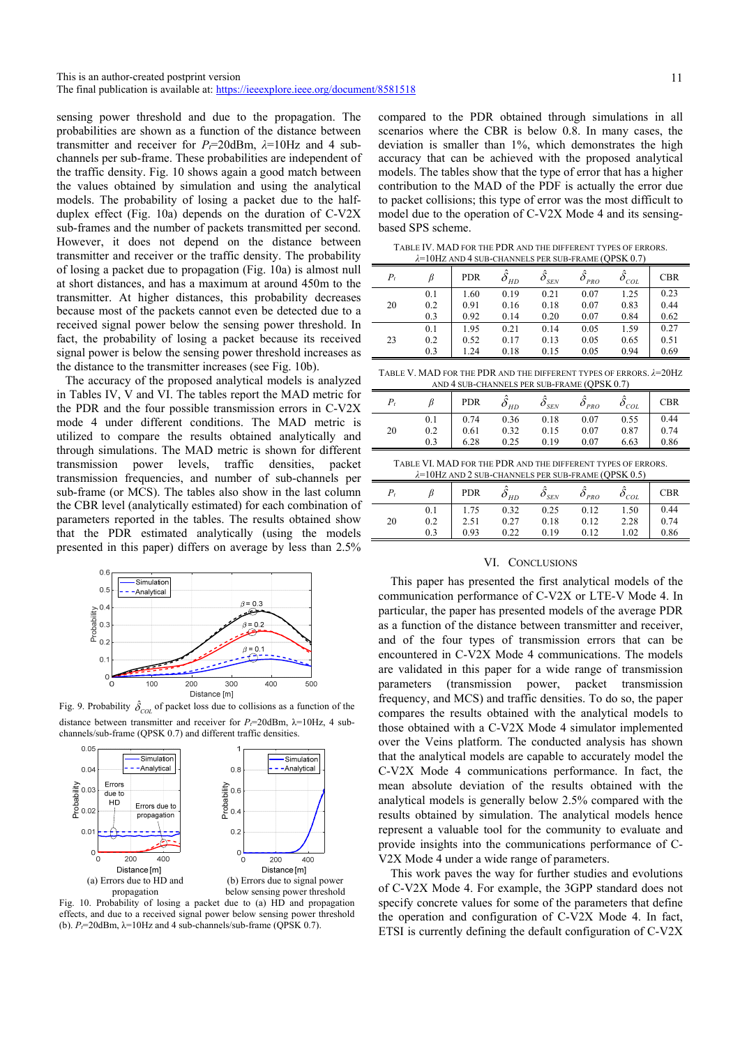sensing power threshold and due to the propagation. The probabilities are shown as a function of the distance between transmitter and receiver for  $P_t$ =20dBm,  $\lambda$ =10Hz and 4 subchannels per sub-frame. These probabilities are independent of the traffic density. Fig. 10 shows again a good match between the values obtained by simulation and using the analytical models. The probability of losing a packet due to the halfduplex effect (Fig. 10a) depends on the duration of C-V2X sub-frames and the number of packets transmitted per second. However, it does not depend on the distance between transmitter and receiver or the traffic density. The probability of losing a packet due to propagation (Fig. 10a) is almost null at short distances, and has a maximum at around 450m to the transmitter. At higher distances, this probability decreases because most of the packets cannot even be detected due to a received signal power below the sensing power threshold. In fact, the probability of losing a packet because its received signal power is below the sensing power threshold increases as the distance to the transmitter increases (see Fig. 10b).

The accuracy of the proposed analytical models is analyzed in Tables IV, V and VI. The tables report the MAD metric for the PDR and the four possible transmission errors in C-V2X mode 4 under different conditions. The MAD metric is utilized to compare the results obtained analytically and through simulations. The MAD metric is shown for different transmission power levels, traffic densities, packet transmission frequencies, and number of sub-channels per sub-frame (or MCS). The tables also show in the last column the CBR level (analytically estimated) for each combination of parameters reported in the tables. The results obtained show that the PDR estimated analytically (using the models presented in this paper) differs on average by less than 2.5%



Fig. 9. Probability  $\hat{\delta}_{COL}$  of packet loss due to collisions as a function of the distance between transmitter and receiver for  $P_f$ =20dBm,  $\lambda$ =10Hz, 4 subchannels/sub-frame (QPSK 0.7) and different traffic densities.



Fig. 10. Probability of losing a packet due to (a) HD and propagation effects, and due to a received signal power below sensing power threshold

compared to the PDR obtained through simulations in all scenarios where the CBR is below 0.8. In many cases, the deviation is smaller than 1%, which demonstrates the high accuracy that can be achieved with the proposed analytical models. The tables show that the type of error that has a higher contribution to the MAD of the PDF is actually the error due to packet collisions; this type of error was the most difficult to model due to the operation of C-V2X Mode 4 and its sensingbased SPS scheme.

TABLE IV. MAD FOR THE PDR AND THE DIFFERENT TYPES OF ERRORS. *λ*=10HZ AND 4 SUB-CHANNELS PER SUB-FRAME (QPSK 0.7)

| $\pi$ - FOLLS AIND T SUB-CHAINNELS FER SUB-FRAME (QT SIX 0.7) |     |            |                   |                    |                               |                |            |
|---------------------------------------------------------------|-----|------------|-------------------|--------------------|-------------------------------|----------------|------------|
| $P_t$                                                         |     | <b>PDR</b> | $o$ <sub>HD</sub> | $o$ <sub>SEN</sub> | $o_{\scriptscriptstyle{PRO}}$ | $\sigma_{COL}$ | <b>CBR</b> |
|                                                               | 0.1 | 1.60       | 0.19              | 0.21               | 0.07                          | 1.25           | 0.23       |
| 20                                                            | 0.2 | 0.91       | 0.16              | 0.18               | 0.07                          | 0.83           | 0.44       |
|                                                               | 0.3 | 0.92       | 0.14              | 0.20               | 0.07                          | 0.84           | 0.62       |
|                                                               | 0.1 | 1.95       | 0.21              | 0.14               | 0.05                          | 1.59           | 0.27       |
| 23                                                            | 0.2 | 0.52       | 0.17              | 0.13               | 0.05                          | 0.65           | 0.51       |
|                                                               | 0.3 | 1.24       | 0.18              | 0.15               | 0.05                          | 0.94           | 0.69       |

| TABLE V. MAD FOR THE PDR AND THE DIFFERENT TYPES OF ERRORS. $\lambda=20$ Hz |
|-----------------------------------------------------------------------------|
| AND 4 SUB-CHANNELS PER SUB-FRAME (QPSK 0.7)                                 |

|    |     | <b>PDR</b> | HD   | $o_{_{SEN}}$ | $o_{PRO}$ | $o_{\textit{col}}$ | <b>CBR</b> |
|----|-----|------------|------|--------------|-----------|--------------------|------------|
|    | 0.1 | 0.74       | 0.36 | 0.18         | 0.07      | 0.55               | 0.44       |
| 20 | 0.2 | 0.61       | 0.32 | 0.15         | 0.07      | 0.87               | 0.74       |
|    | 0.3 | 6.28       | 0.25 | 0.19         | 0.07      | 6.63               | 0.86       |
|    |     |            |      |              |           |                    |            |

| TABLE VI. MAD FOR THE PDR AND THE DIFFERENT TYPES OF ERRORS. |  |
|--------------------------------------------------------------|--|
| $\lambda$ =10Hz and 2 sub-channels per sub-frame (QPSK 0.5)  |  |

|    |     | <b>PDR</b> | HD   | $\sigma_{SEN}$ | $o_{PRO}$ | $o_{\textit{col}}$ | <b>CBR</b> |
|----|-----|------------|------|----------------|-----------|--------------------|------------|
|    | 0.1 | 1.75       | 0.32 | 0.25           | 0.12      | 1.50               | 0.44       |
| 20 | 0.2 | 2.51       | 0.27 | 0.18           | 0.12      | 2.28               | 0.74       |
|    | 0.3 | 0.93       | 0.22 | 0.19           | 0.12      | 1.02               | 0.86       |
|    |     |            |      |                |           |                    |            |

# VI. CONCLUSIONS

This paper has presented the first analytical models of the communication performance of C-V2X or LTE-V Mode 4. In particular, the paper has presented models of the average PDR as a function of the distance between transmitter and receiver, and of the four types of transmission errors that can be encountered in C-V2X Mode 4 communications. The models are validated in this paper for a wide range of transmission parameters (transmission power, packet transmission frequency, and MCS) and traffic densities. To do so, the paper compares the results obtained with the analytical models to those obtained with a C-V2X Mode 4 simulator implemented over the Veins platform. The conducted analysis has shown that the analytical models are capable to accurately model the C-V2X Mode 4 communications performance. In fact, the mean absolute deviation of the results obtained with the analytical models is generally below 2.5% compared with the results obtained by simulation. The analytical models hence represent a valuable tool for the community to evaluate and provide insights into the communications performance of C-V2X Mode 4 under a wide range of parameters.

This work paves the way for further studies and evolutions of C-V2X Mode 4. For example, the 3GPP standard does not specify concrete values for some of the parameters that define the operation and configuration of C-V2X Mode 4. In fact, ETSI is currently defining the default configuration of C-V2X